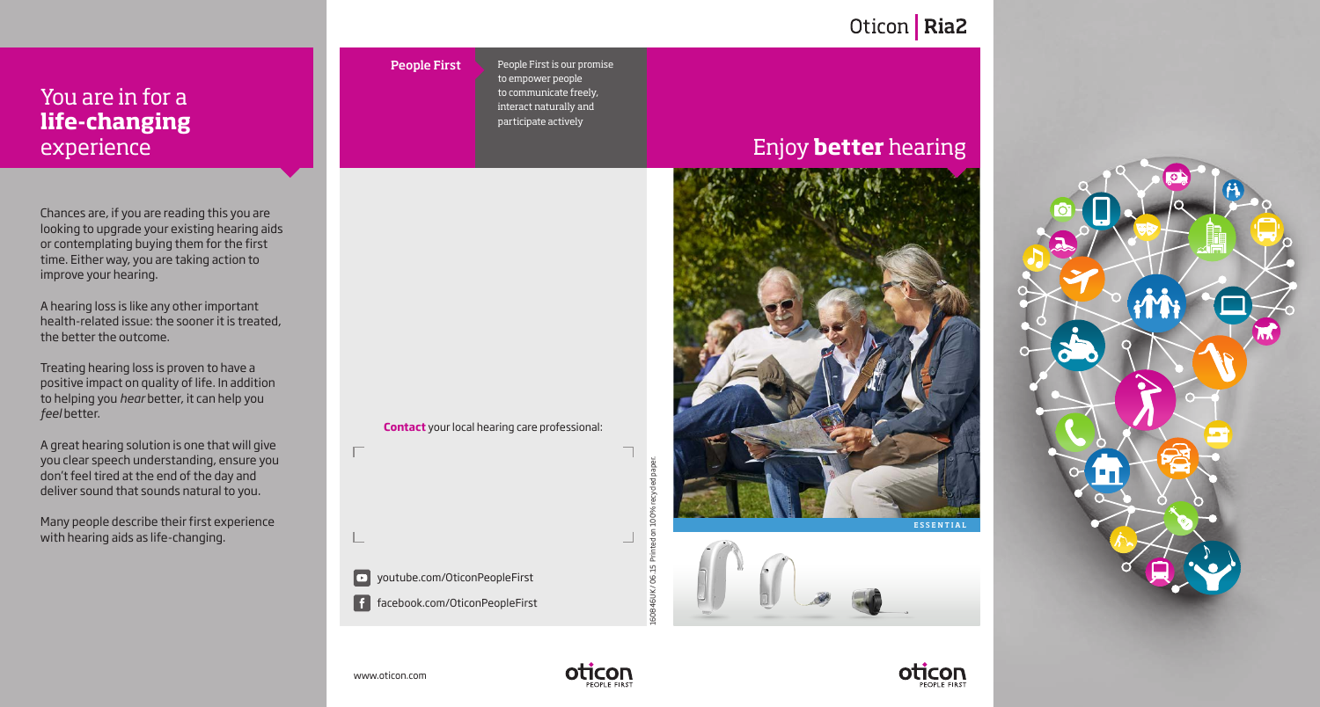## Oticon | Ria2

### You are in for a **life-changing** experience

Chances are, if you are reading this you are looking to upgrade your existing hearing aids or contemplating buying them for the first time. Either way, you are taking action to improve your hearing.

A hearing loss is like any other important health-related issue: the sooner it is treated, the better the outcome.

Treating hearing loss is proven to have a positive impact on quality of life. In addition to helping you *hear* better, it can help you *feel* better.

A great hearing solution is one that will give you clear speech understanding, ensure you don't feel tired at the end of the day and deliver sound that sounds natural to you.

Many people describe their first experience with hearing aids as life-changing.

# People First

People First is our promise to empower people to communicate freely, interact naturally and participate actively

**Contact** your local hearing care professional:

### Enjoy **better** hearing







www.oticon.com

■ youtube.com/OticonPeopleFirst

facebook.com/OticonPeopleFirst



160846UK / 06.15 Printed on 100% recycled paper.

on 100 횫